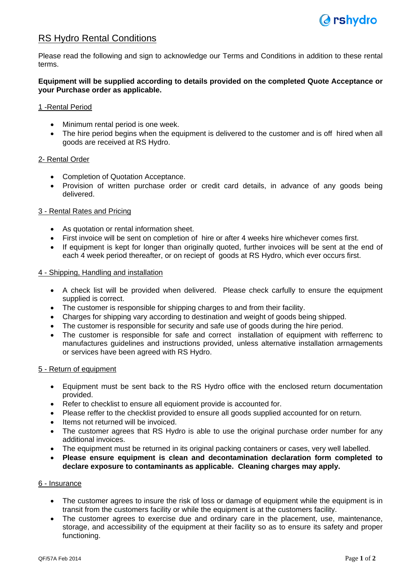

# RS Hydro Rental Conditions

Please read the following and sign to acknowledge our Terms and Conditions in addition to these rental terms.

## **Equipment will be supplied according to details provided on the completed Quote Acceptance or your Purchase order as applicable.**

## 1 -Rental Period

- Minimum rental period is one week.
- The hire period begins when the equipment is delivered to the customer and is off hired when all goods are received at RS Hydro.

## 2- Rental Order

- Completion of Quotation Acceptance.
- Provision of written purchase order or credit card details, in advance of any goods being delivered.

## 3 - Rental Rates and Pricing

- As quotation or rental information sheet.
- First invoice will be sent on completion of hire or after 4 weeks hire whichever comes first.
- If equipment is kept for longer than originally quoted, further invoices will be sent at the end of each 4 week period thereafter, or on reciept of goods at RS Hydro, which ever occurs first.

#### 4 - Shipping, Handling and installation

- A check list will be provided when delivered. Please check carfully to ensure the equipment supplied is correct.
- The customer is responsible for shipping charges to and from their facility.
- Charges for shipping vary according to destination and weight of goods being shipped.
- The customer is responsible for security and safe use of goods during the hire period.
- The customer is responsible for safe and correct installation of equipment with refferrenc to manufactures guidelines and instructions provided, unless alternative installation arrnagements or services have been agreed with RS Hydro.

#### 5 - Return of equipment

- Equipment must be sent back to the RS Hydro office with the enclosed return documentation provided.
- Refer to checklist to ensure all equioment provide is accounted for.
- Please reffer to the checklist provided to ensure all goods supplied accounted for on return.
- Items not returned will be invoiced.
- The customer agrees that RS Hydro is able to use the original purchase order number for any additional invoices.
- The equipment must be returned in its original packing containers or cases, very well labelled.
- **Please ensure equipment is clean and decontamination declaration form completed to declare exposure to contaminants as applicable. Cleaning charges may apply.**

#### 6 - Insurance

- The customer agrees to insure the risk of loss or damage of equipment while the equipment is in transit from the customers facility or while the equipment is at the customers facility.
- The customer agrees to exercise due and ordinary care in the placement, use, maintenance, storage, and accessibility of the equipment at their facility so as to ensure its safety and proper functioning.